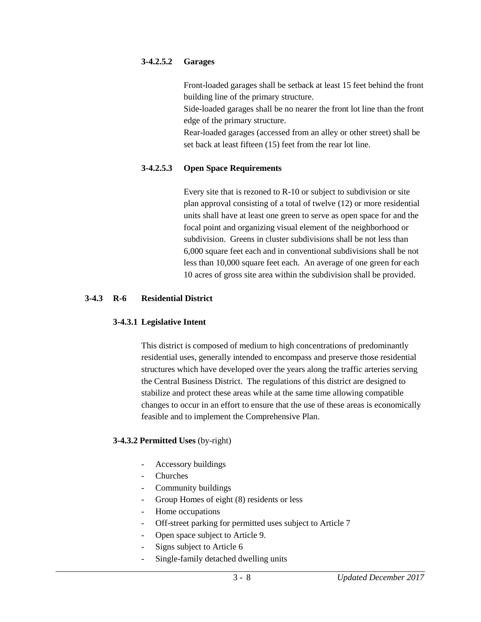## **3-4.2.5.2 Garages**

Front-loaded garages shall be setback at least 15 feet behind the front building line of the primary structure.

Side-loaded garages shall be no nearer the front lot line than the front edge of the primary structure.

Rear-loaded garages (accessed from an alley or other street) shall be set back at least fifteen (15) feet from the rear lot line.

## **3-4.2.5.3 Open Space Requirements**

Every site that is rezoned to R-10 or subject to subdivision or site plan approval consisting of a total of twelve (12) or more residential units shall have at least one green to serve as open space for and the focal point and organizing visual element of the neighborhood or subdivision. Greens in cluster subdivisions shall be not less than 6,000 square feet each and in conventional subdivisions shall be not less than 10,000 square feet each. An average of one green for each 10 acres of gross site area within the subdivision shall be provided.

## **3-4.3 R-6 Residential District**

#### **3-4.3.1 Legislative Intent**

This district is composed of medium to high concentrations of predominantly residential uses, generally intended to encompass and preserve those residential structures which have developed over the years along the traffic arteries serving the Central Business District. The regulations of this district are designed to stabilize and protect these areas while at the same time allowing compatible changes to occur in an effort to ensure that the use of these areas is economically feasible and to implement the Comprehensive Plan.

# **3-4.3.2 Permitted Uses** (by-right)

- Accessory buildings
- **Churches**
- Community buildings
- Group Homes of eight (8) residents or less
- Home occupations
- Off-street parking for permitted uses subject to Article 7
- Open space subject to Article 9.
- Signs subject to Article 6
- Single-family detached dwelling units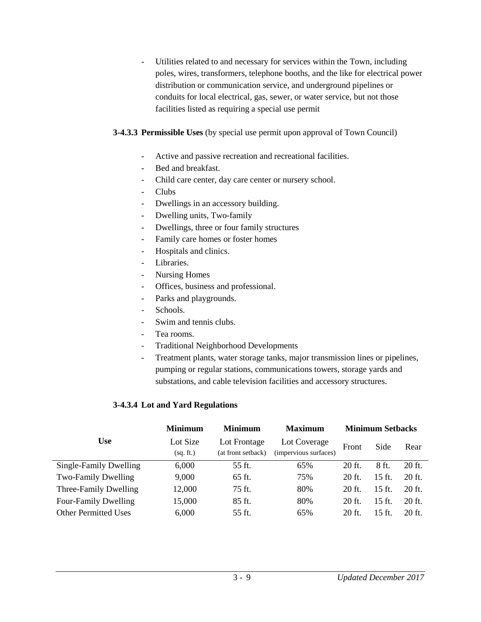- Utilities related to and necessary for services within the Town, including poles, wires, transformers, telephone booths, and the like for electrical power distribution or communication service, and underground pipelines or conduits for local electrical, gas, sewer, or water service, but not those facilities listed as requiring a special use permit

### **3-4.3.3 Permissible Uses** (by special use permit upon approval of Town Council)

- Active and passive recreation and recreational facilities.
- Bed and breakfast.
- Child care center, day care center or nursery school.
- Clubs
- Dwellings in an accessory building.
- Dwelling units, Two-family
- Dwellings, three or four family structures
- Family care homes or foster homes
- Hospitals and clinics.
- Libraries.
- Nursing Homes
- Offices, business and professional.
- Parks and playgrounds.
- Schools.
- Swim and tennis clubs.
- Tea rooms.
- Traditional Neighborhood Developments
- Treatment plants, water storage tanks, major transmission lines or pipelines, pumping or regular stations, communications towers, storage yards and substations, and cable television facilities and accessory structures.

#### **3-4.3.4 Lot and Yard Regulations**

|                             | <b>Minimum</b> | <b>Minimum</b>     | <b>Maximum</b>        | <b>Minimum Setbacks</b> |                  |          |
|-----------------------------|----------------|--------------------|-----------------------|-------------------------|------------------|----------|
| <b>Use</b>                  | Lot Size       | Lot Frontage       | Lot Coverage          | Front                   | Side             | Rear     |
|                             | (sq. ft.)      | (at front setback) | (impervious surfaces) |                         |                  |          |
| Single-Family Dwelling      | 6,000          | 55 ft.             | 65%                   | 20 ft.                  | 8 ft.            | $20$ ft. |
| Two-Family Dwelling         | 9,000          | 65 ft.             | 75%                   | $20$ ft.                | $15 \text{ ft.}$ | $20$ ft. |
| Three-Family Dwelling       | 12,000         | 75 ft.             | 80%                   | 20 ft.                  | $15 \text{ ft.}$ | 20 ft.   |
| <b>Four-Family Dwelling</b> | 15,000         | 85 ft.             | 80%                   | 20 ft.                  | $15$ ft.         | $20$ ft. |
| <b>Other Permitted Uses</b> | 6,000          | 55 ft.             | 65%                   | 20 ft.                  | $15$ ft.         | $20$ ft. |